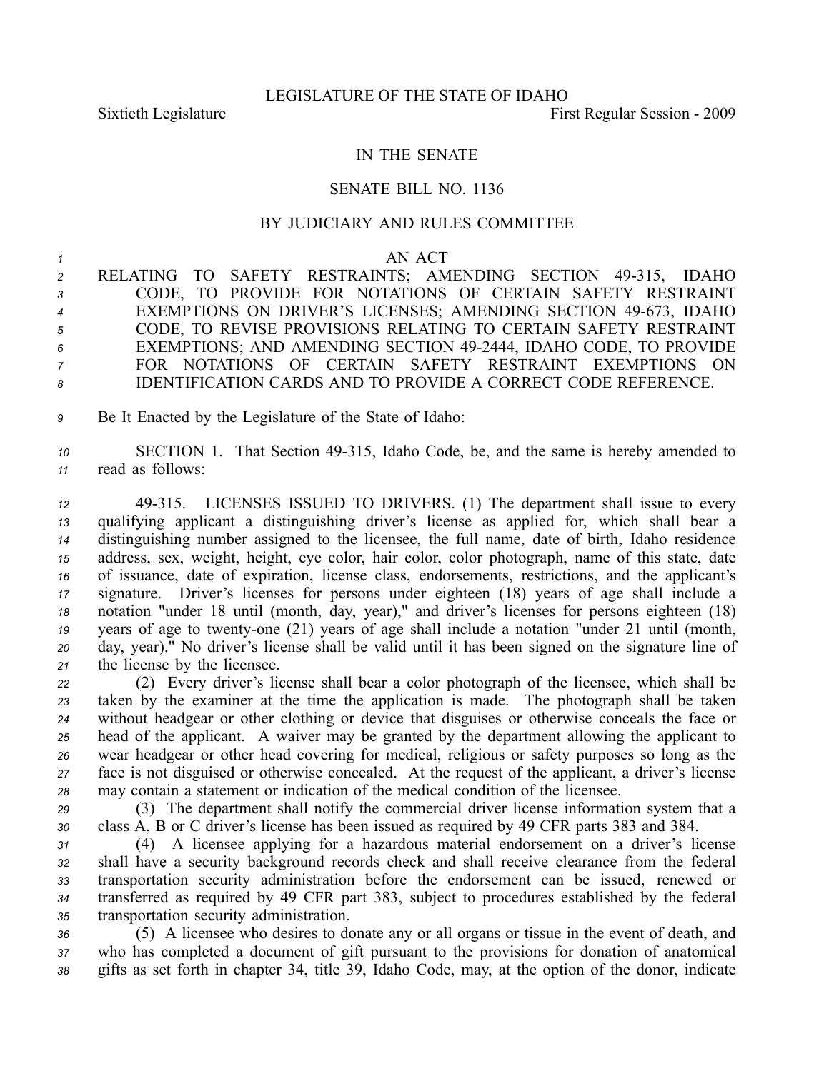## IN THE SENATE

## SENATE BILL NO. 1136

## BY JUDICIARY AND RULES COMMITTEE

## *<sup>1</sup>* AN ACT

2 RELATING TO SAFETY RESTRAINTS; AMENDING SECTION 49-315, IDAHO CODE, TO PROVIDE FOR NOTATIONS OF CERTAIN SAFETY RESTRAINT 4 EXEMPTIONS ON DRIVER'S LICENSES; AMENDING SECTION 49-673, IDAHO CODE, TO REVISE PROVISIONS RELATING TO CERTAIN SAFETY RESTRAINT EXEMPTIONS; AND AMENDING SECTION 492444, IDAHO CODE, TO PROVIDE FOR NOTATIONS OF CERTAIN SAFETY RESTRAINT EXEMPTIONS ON IDENTIFICATION CARDS AND TO PROVIDE A CORRECT CODE REFERENCE.

*<sup>9</sup>* Be It Enacted by the Legislature of the State of Idaho:

*<sup>10</sup>* SECTION 1. That Section 49315, Idaho Code, be, and the same is hereby amended to *<sup>11</sup>* read as follows:

 49315. LICENSES ISSUED TO DRIVERS. (1) The department shall issue to every qualifying applicant <sup>a</sup> distinguishing driver's license as applied for, which shall bear <sup>a</sup> distinguishing number assigned to the licensee, the full name, date of birth, Idaho residence address, sex, weight, height, eye color, hair color, color photograph, name of this state, date of issuance, date of expiration, license class, endorsements, restrictions, and the applicant's signature. Driver's licenses for persons under eighteen (18) years of age shall include <sup>a</sup> notation "under 18 until (month, day, year)," and driver's licenses for persons eighteen (18) years of age to twenty-one (21) years of age shall include a notation "under 21 until (month, day, year)." No driver's license shall be valid until it has been signed on the signature line of the license by the licensee.

 (2) Every driver's license shall bear <sup>a</sup> color photograph of the licensee, which shall be taken by the examiner at the time the application is made. The photograph shall be taken without headgear or other clothing or device that disguises or otherwise conceals the face or head of the applicant. A waiver may be granted by the department allowing the applicant to wear headgear or other head covering for medical, religious or safety purposes so long as the face is not disguised or otherwise concealed. At the reques<sup>t</sup> of the applicant, <sup>a</sup> driver's license may contain <sup>a</sup> statement or indication of the medical condition of the licensee.

*<sup>29</sup>* (3) The department shall notify the commercial driver license information system that <sup>a</sup> *<sup>30</sup>* class A, B or C driver's license has been issued as required by 49 CFR parts 383 and 384.

 (4) A licensee applying for <sup>a</sup> hazardous material endorsement on <sup>a</sup> driver's license shall have <sup>a</sup> security background records check and shall receive clearance from the federal transportation security administration before the endorsement can be issued, renewed or transferred as required by 49 CFR par<sup>t</sup> 383, subject to procedures established by the federal transportation security administration.

*<sup>36</sup>* (5) A licensee who desires to donate any or all organs or tissue in the event of death, and *<sup>37</sup>* who has completed <sup>a</sup> document of gift pursuan<sup>t</sup> to the provisions for donation of anatomical *<sup>38</sup>* gifts as set forth in chapter 34, title 39, Idaho Code, may, at the option of the donor, indicate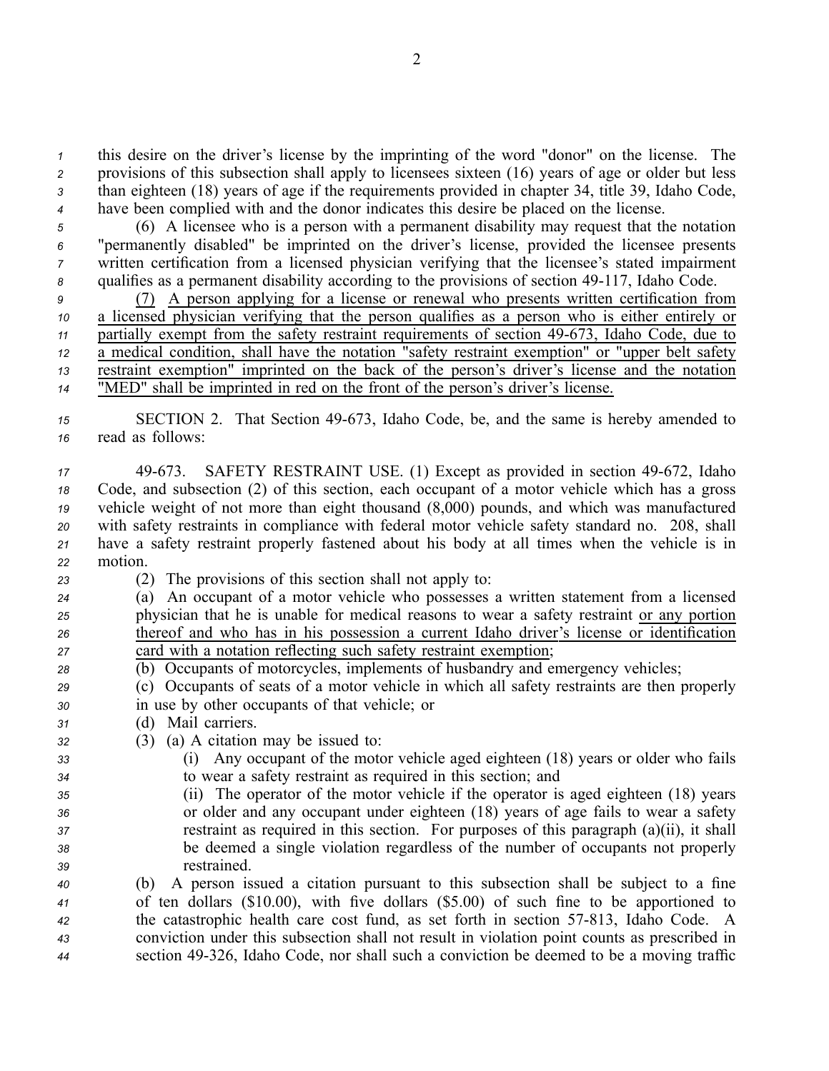this desire on the driver's license by the imprinting of the word "donor" on the license. The provisions of this subsection shall apply to licensees sixteen (16) years of age or older but less than eighteen (18) years of age if the requirements provided in chapter 34, title 39, Idaho Code, have been complied with and the donor indicates this desire be placed on the license.

 (6) A licensee who is <sup>a</sup> person with <sup>a</sup> permanen<sup>t</sup> disability may reques<sup>t</sup> that the notation "permanently disabled" be imprinted on the driver's license, provided the licensee presents written certification from <sup>a</sup> licensed physician verifying that the licensee's stated impairment qualifies as a permanent disability according to the provisions of section 49-117, Idaho Code.

 (7) A person applying for <sup>a</sup> license or renewal who presents written certification from <sup>a</sup> licensed physician verifying that the person qualifies as <sup>a</sup> person who is either entirely or partially exempt from the safety restraint requirements of section 49-673, Idaho Code, due to <sup>a</sup> medical condition, shall have the notation "safety restraint exemption" or "upper belt safety restraint exemption" imprinted on the back of the person's driver's license and the notation "MED" shall be imprinted in red on the front of the person's driver's license.

*<sup>15</sup>* SECTION 2. That Section 49673, Idaho Code, be, and the same is hereby amended to *<sup>16</sup>* read as follows:

17 49-673. SAFETY RESTRAINT USE. (1) Except as provided in section 49-672, Idaho Code, and subsection (2) of this section, each occupan<sup>t</sup> of <sup>a</sup> motor vehicle which has <sup>a</sup> gross vehicle weight of not more than eight thousand (8,000) pounds, and which was manufactured with safety restraints in compliance with federal motor vehicle safety standard no. 208, shall have <sup>a</sup> safety restraint properly fastened about his body at all times when the vehicle is in *<sup>22</sup>* motion.

- 
- *<sup>23</sup>* (2) The provisions of this section shall not apply to:
- *<sup>24</sup>* (a) An occupan<sup>t</sup> of <sup>a</sup> motor vehicle who possesses <sup>a</sup> written statement from <sup>a</sup> licensed *<sup>25</sup>* physician that he is unable for medical reasons to wear <sup>a</sup> safety restraint or any portion *<sup>26</sup>* thereof and who has in his possession <sup>a</sup> current Idaho driver's license or identification *<sup>27</sup>* card with <sup>a</sup> notation reflecting such safety restraint exemption;
- *<sup>28</sup>* (b) Occupants of motorcycles, implements of husbandry and emergency vehicles;

*<sup>29</sup>* (c) Occupants of seats of <sup>a</sup> motor vehicle in which all safety restraints are then properly *<sup>30</sup>* in use by other occupants of that vehicle; or

- *<sup>31</sup>* (d) Mail carriers.
- *<sup>32</sup>* (3) (a) A citation may be issued to:
- *<sup>33</sup>* (i) Any occupan<sup>t</sup> of the motor vehicle aged eighteen (18) years or older who fails *<sup>34</sup>* to wear <sup>a</sup> safety restraint as required in this section; and
- *<sup>35</sup>* (ii) The operator of the motor vehicle if the operator is aged eighteen (18) years *<sup>36</sup>* or older and any occupan<sup>t</sup> under eighteen (18) years of age fails to wear <sup>a</sup> safety *<sup>37</sup>* restraint as required in this section. For purposes of this paragraph (a)(ii), it shall *<sup>38</sup>* be deemed <sup>a</sup> single violation regardless of the number of occupants not properly *<sup>39</sup>* restrained.

 (b) A person issued <sup>a</sup> citation pursuan<sup>t</sup> to this subsection shall be subject to <sup>a</sup> fine of ten dollars (\$10.00), with five dollars (\$5.00) of such fine to be apportioned to <sup>42</sup> the catastrophic health care cost fund, as set forth in section 57-813, Idaho Code. A conviction under this subsection shall not result in violation point counts as prescribed in section 49326, Idaho Code, nor shall such <sup>a</sup> conviction be deemed to be <sup>a</sup> moving traffic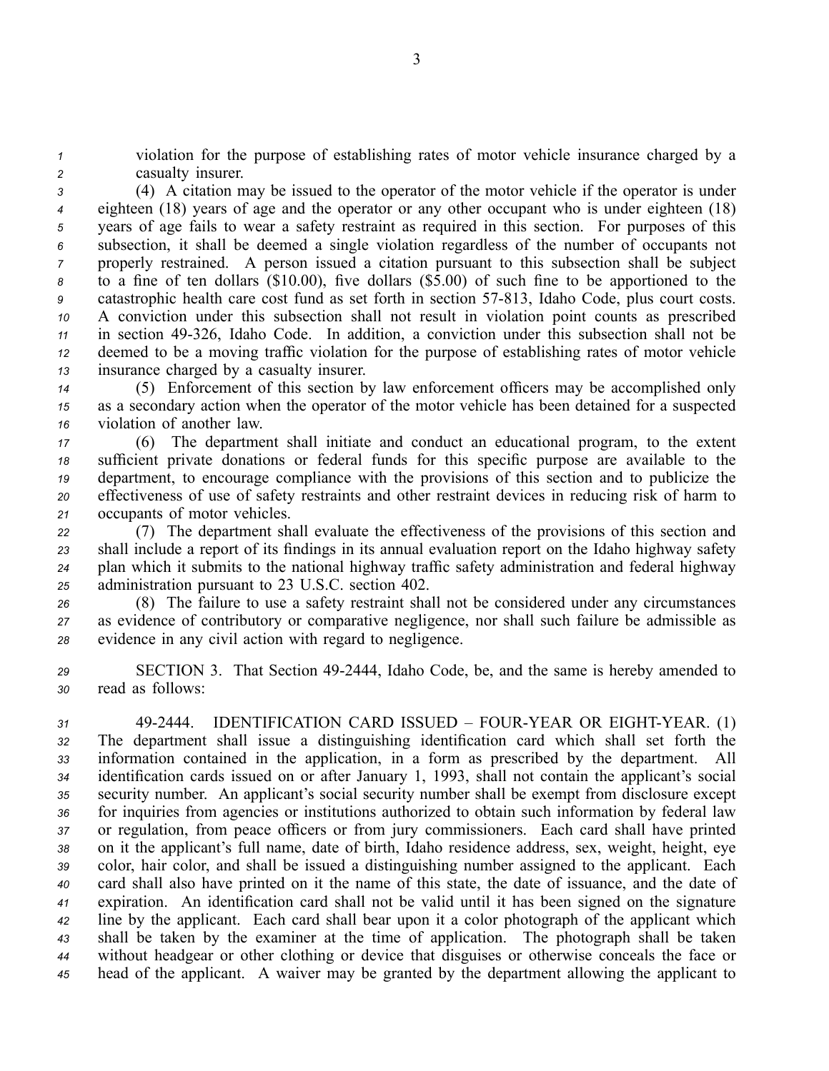*<sup>1</sup>* violation for the purpose of establishing rates of motor vehicle insurance charged by <sup>a</sup> *<sup>2</sup>* casualty insurer.

 (4) A citation may be issued to the operator of the motor vehicle if the operator is under eighteen (18) years of age and the operator or any other occupan<sup>t</sup> who is under eighteen (18) years of age fails to wear <sup>a</sup> safety restraint as required in this section. For purposes of this subsection, it shall be deemed <sup>a</sup> single violation regardless of the number of occupants not properly restrained. A person issued <sup>a</sup> citation pursuan<sup>t</sup> to this subsection shall be subject to <sup>a</sup> fine of ten dollars (\$10.00), five dollars (\$5.00) of such fine to be apportioned to the catastrophic health care cost fund as set forth in section 57-813, Idaho Code, plus court costs. A conviction under this subsection shall not result in violation point counts as prescribed in section 49326, Idaho Code. In addition, <sup>a</sup> conviction under this subsection shall not be deemed to be <sup>a</sup> moving traffic violation for the purpose of establishing rates of motor vehicle insurance charged by <sup>a</sup> casualty insurer.

*<sup>14</sup>* (5) Enforcement of this section by law enforcement officers may be accomplished only *<sup>15</sup>* as <sup>a</sup> secondary action when the operator of the motor vehicle has been detained for <sup>a</sup> suspected *<sup>16</sup>* violation of another law.

 (6) The department shall initiate and conduct an educational program, to the extent sufficient private donations or federal funds for this specific purpose are available to the department, to encourage compliance with the provisions of this section and to publicize the effectiveness of use of safety restraints and other restraint devices in reducing risk of harm to occupants of motor vehicles.

 (7) The department shall evaluate the effectiveness of the provisions of this section and shall include <sup>a</sup> repor<sup>t</sup> of its findings in its annual evaluation repor<sup>t</sup> on the Idaho highway safety plan which it submits to the national highway traffic safety administration and federal highway administration pursuan<sup>t</sup> to 23 U.S.C. section 402.

*<sup>26</sup>* (8) The failure to use <sup>a</sup> safety restraint shall not be considered under any circumstances *<sup>27</sup>* as evidence of contributory or comparative negligence, nor shall such failure be admissible as *<sup>28</sup>* evidence in any civil action with regard to negligence.

*<sup>29</sup>* SECTION 3. That Section 492444, Idaho Code, be, and the same is hereby amended to *<sup>30</sup>* read as follows:

 492444. IDENTIFICATION CARD ISSUED – FOURYEAR OR EIGHTYEAR. (1) The department shall issue <sup>a</sup> distinguishing identification card which shall set forth the information contained in the application, in <sup>a</sup> form as prescribed by the department. All identification cards issued on or after January 1, 1993, shall not contain the applicant's social security number. An applicant's social security number shall be exemp<sup>t</sup> from disclosure excep<sup>t</sup> for inquiries from agencies or institutions authorized to obtain such information by federal law or regulation, from peace officers or from jury commissioners. Each card shall have printed on it the applicant's full name, date of birth, Idaho residence address, sex, weight, height, eye color, hair color, and shall be issued <sup>a</sup> distinguishing number assigned to the applicant. Each card shall also have printed on it the name of this state, the date of issuance, and the date of expiration. An identification card shall not be valid until it has been signed on the signature line by the applicant. Each card shall bear upon it <sup>a</sup> color photograph of the applicant which shall be taken by the examiner at the time of application. The photograph shall be taken without headgear or other clothing or device that disguises or otherwise conceals the face or head of the applicant. A waiver may be granted by the department allowing the applicant to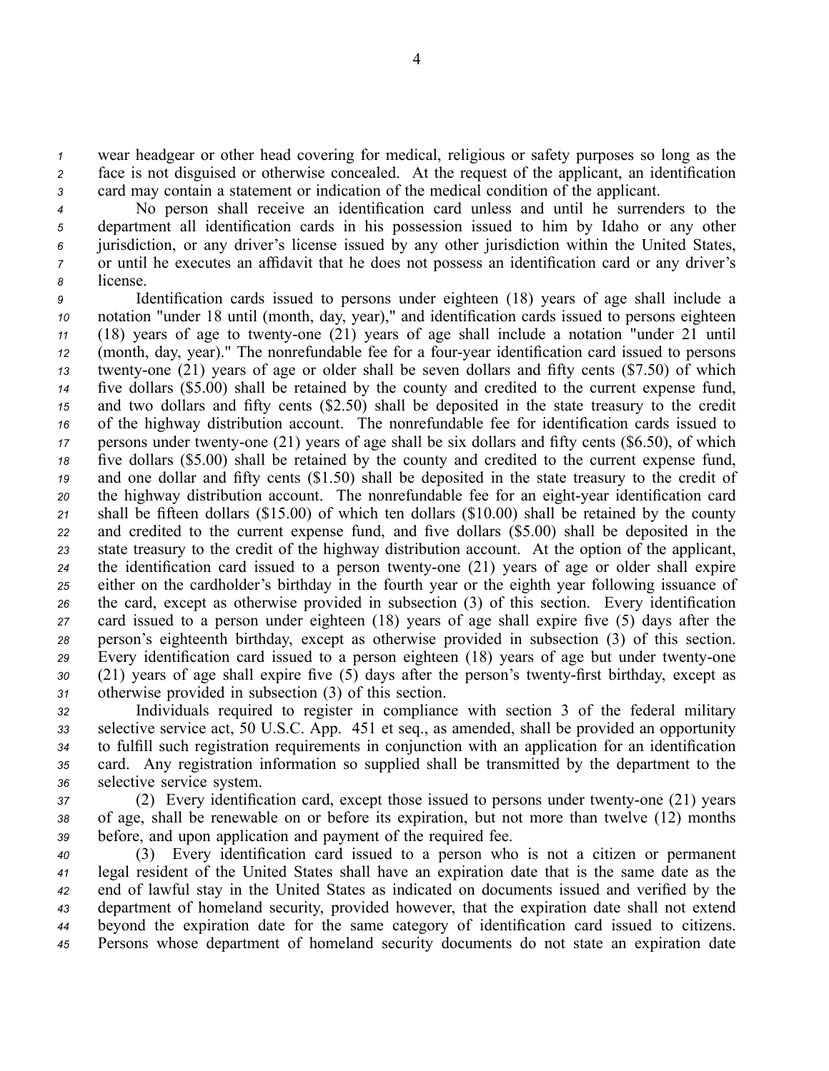*<sup>1</sup>* wear headgear or other head covering for medical, religious or safety purposes so long as the *<sup>2</sup>* face is not disguised or otherwise concealed. At the reques<sup>t</sup> of the applicant, an identification *<sup>3</sup>* card may contain <sup>a</sup> statement or indication of the medical condition of the applicant.

 No person shall receive an identification card unless and until he surrenders to the department all identification cards in his possession issued to him by Idaho or any other jurisdiction, or any driver's license issued by any other jurisdiction within the United States, or until he executes an affidavit that he does not possess an identification card or any driver's *<sup>8</sup>* license.

 Identification cards issued to persons under eighteen (18) years of age shall include <sup>a</sup> notation "under 18 until (month, day, year)," and identification cards issued to persons eighteen (18) years of age to twenty-one (21) years of age shall include a notation "under 21 until 12 (month, day, year)." The nonrefundable fee for a four-year identification card issued to persons twenty-one (21) years of age or older shall be seven dollars and fifty cents (\$7.50) of which five dollars (\$5.00) shall be retained by the county and credited to the current expense fund, and two dollars and fifty cents (\$2.50) shall be deposited in the state treasury to the credit of the highway distribution account. The nonrefundable fee for identification cards issued to persons under twenty-one (21) years of age shall be six dollars and fifty cents (\$6.50), of which five dollars (\$5.00) shall be retained by the county and credited to the current expense fund, and one dollar and fifty cents (\$1.50) shall be deposited in the state treasury to the credit of the highway distribution account. The nonrefundable fee for an eight-year identification card shall be fifteen dollars (\$15.00) of which ten dollars (\$10.00) shall be retained by the county and credited to the current expense fund, and five dollars (\$5.00) shall be deposited in the state treasury to the credit of the highway distribution account. At the option of the applicant, the identification card issued to <sup>a</sup> person twentyone (21) years of age or older shall expire either on the cardholder's birthday in the fourth year or the eighth year following issuance of the card, excep<sup>t</sup> as otherwise provided in subsection (3) of this section. Every identification card issued to <sup>a</sup> person under eighteen (18) years of age shall expire five (5) days after the person's eighteenth birthday, excep<sup>t</sup> as otherwise provided in subsection (3) of this section. Every identification card issued to a person eighteen (18) years of age but under twenty-one 30 (21) years of age shall expire five (5) days after the person's twenty-first birthday, except as otherwise provided in subsection (3) of this section.

 Individuals required to register in compliance with section 3 of the federal military selective service act, 50 U.S.C. App. 451 et seq., as amended, shall be provided an opportunity to fulfill such registration requirements in conjunction with an application for an identification card. Any registration information so supplied shall be transmitted by the department to the selective service system.

*37* (2) Every identification card, except those issued to persons under twenty-one (21) years *<sup>38</sup>* of age, shall be renewable on or before its expiration, but not more than twelve (12) months *<sup>39</sup>* before, and upon application and paymen<sup>t</sup> of the required fee.

 (3) Every identification card issued to <sup>a</sup> person who is not <sup>a</sup> citizen or permanen<sup>t</sup> legal resident of the United States shall have an expiration date that is the same date as the end of lawful stay in the United States as indicated on documents issued and verified by the department of homeland security, provided however, that the expiration date shall not extend beyond the expiration date for the same category of identification card issued to citizens. Persons whose department of homeland security documents do not state an expiration date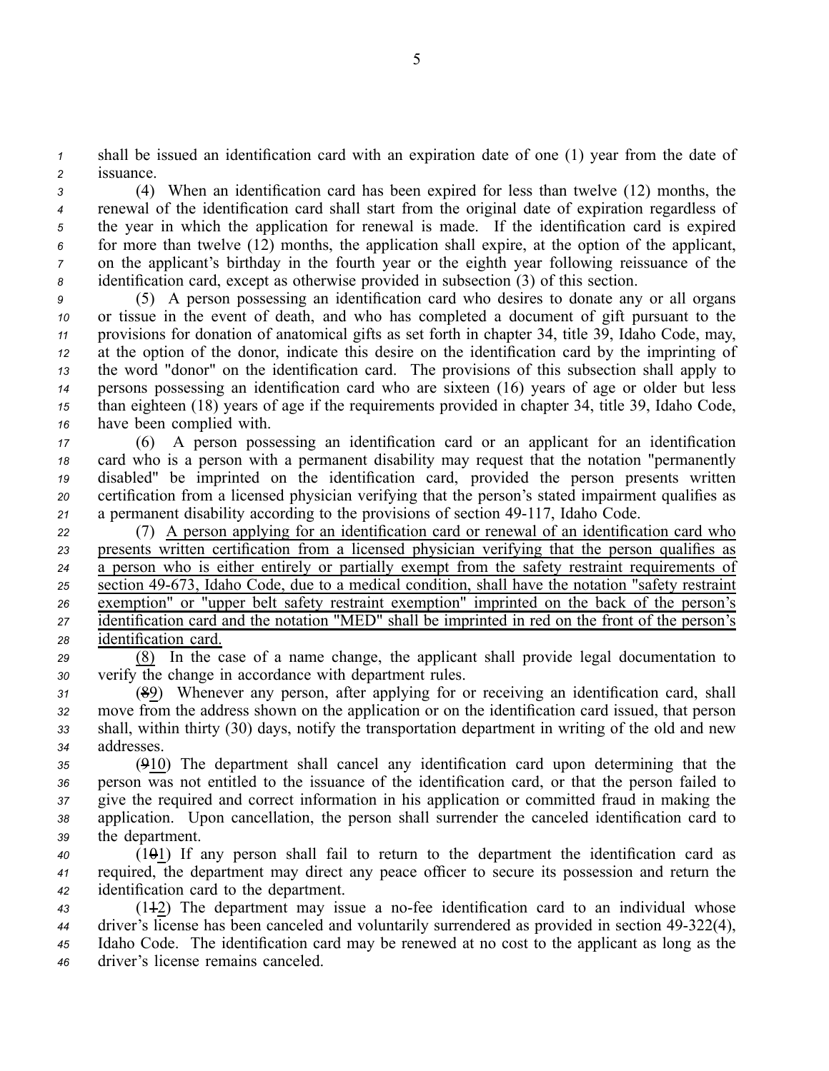*<sup>1</sup>* shall be issued an identification card with an expiration date of one (1) year from the date of *<sup>2</sup>* issuance.

 (4) When an identification card has been expired for less than twelve (12) months, the renewal of the identification card shall start from the original date of expiration regardless of the year in which the application for renewal is made. If the identification card is expired for more than twelve (12) months, the application shall expire, at the option of the applicant, on the applicant's birthday in the fourth year or the eighth year following reissuance of the identification card, excep<sup>t</sup> as otherwise provided in subsection (3) of this section.

 (5) A person possessing an identification card who desires to donate any or all organs or tissue in the event of death, and who has completed <sup>a</sup> document of gift pursuan<sup>t</sup> to the provisions for donation of anatomical gifts as set forth in chapter 34, title 39, Idaho Code, may, at the option of the donor, indicate this desire on the identification card by the imprinting of the word "donor" on the identification card. The provisions of this subsection shall apply to persons possessing an identification card who are sixteen (16) years of age or older but less than eighteen (18) years of age if the requirements provided in chapter 34, title 39, Idaho Code, have been complied with.

 (6) A person possessing an identification card or an applicant for an identification card who is <sup>a</sup> person with <sup>a</sup> permanen<sup>t</sup> disability may reques<sup>t</sup> that the notation "permanently disabled" be imprinted on the identification card, provided the person presents written certification from <sup>a</sup> licensed physician verifying that the person's stated impairment qualifies as 21 a permanent disability according to the provisions of section 49-117, Idaho Code.

 (7) A person applying for an identification card or renewal of an identification card who presents written certification from <sup>a</sup> licensed physician verifying that the person qualifies as <sup>a</sup> person who is either entirely or partially exemp<sup>t</sup> from the safety restraint requirements of <sup>25</sup> section 49-673, Idaho Code, due to a medical condition, shall have the notation "safety restraint" exemption" or "upper belt safety restraint exemption" imprinted on the back of the person's identification card and the notation "MED" shall be imprinted in red on the front of the person's identification card.

*<sup>29</sup>* (8) In the case of <sup>a</sup> name change, the applicant shall provide legal documentation to *<sup>30</sup>* verify the change in accordance with department rules.

 (89) Whenever any person, after applying for or receiving an identification card, shall move from the address shown on the application or on the identification card issued, that person shall, within thirty (30) days, notify the transportation department in writing of the old and new addresses.

 (910) The department shall cancel any identification card upon determining that the person was not entitled to the issuance of the identification card, or that the person failed to give the required and correct information in his application or committed fraud in making the application. Upon cancellation, the person shall surrender the canceled identification card to the department.

*<sup>40</sup>* (101) If any person shall fail to return to the department the identification card as *<sup>41</sup>* required, the department may direct any peace officer to secure its possession and return the *<sup>42</sup>* identification card to the department.

43 (142) The department may issue a no-fee identification card to an individual whose driver's license has been canceled and voluntarily surrendered as provided in section 49322(4), Idaho Code. The identification card may be renewed at no cost to the applicant as long as the driver's license remains canceled.